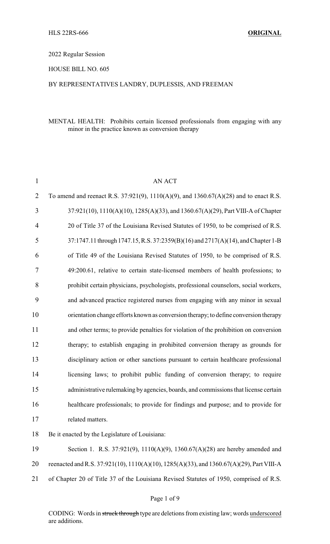### 2022 Regular Session

HOUSE BILL NO. 605

## BY REPRESENTATIVES LANDRY, DUPLESSIS, AND FREEMAN

## MENTAL HEALTH: Prohibits certain licensed professionals from engaging with any minor in the practice known as conversion therapy

| $\mathbf{1}$             | <b>AN ACT</b>                                                                            |
|--------------------------|------------------------------------------------------------------------------------------|
| 2                        | To amend and reenact R.S. 37:921(9), 1110(A)(9), and 1360.67(A)(28) and to enact R.S.    |
| 3                        | 37:921(10), 1110(A)(10), 1285(A)(33), and 1360.67(A)(29), Part VIII-A of Chapter         |
| $\overline{\mathcal{A}}$ | 20 of Title 37 of the Louisiana Revised Statutes of 1950, to be comprised of R.S.        |
| 5                        | 37:1747.11 through 1747.15, R.S. 37:2359(B)(16) and 2717(A)(14), and Chapter 1-B         |
| 6                        | of Title 49 of the Louisiana Revised Statutes of 1950, to be comprised of R.S.           |
| 7                        | 49:200.61, relative to certain state-licensed members of health professions; to          |
| 8                        | prohibit certain physicians, psychologists, professional counselors, social workers,     |
| 9                        | and advanced practice registered nurses from engaging with any minor in sexual           |
| 10                       | orientation change efforts known as conversion therapy; to define conversion therapy     |
| 11                       | and other terms; to provide penalties for violation of the prohibition on conversion     |
| 12                       | therapy; to establish engaging in prohibited conversion therapy as grounds for           |
| 13                       | disciplinary action or other sanctions pursuant to certain healthcare professional       |
| 14                       | licensing laws; to prohibit public funding of conversion therapy; to require             |
| 15                       | administrative rulemaking by agencies, boards, and commissions that license certain      |
| 16                       | healthcare professionals; to provide for findings and purpose; and to provide for        |
| 17                       | related matters.                                                                         |
| 18                       | Be it enacted by the Legislature of Louisiana:                                           |
| 19                       | Section 1. R.S. 37:921(9), 1110(A)(9), 1360.67(A)(28) are hereby amended and             |
| 20                       | reenacted and R.S. 37:921(10), 1110(A)(10), 1285(A)(33), and 1360.67(A)(29), Part VIII-A |

of Chapter 20 of Title 37 of the Louisiana Revised Statutes of 1950, comprised of R.S.

CODING: Words in struck through type are deletions from existing law; words underscored are additions.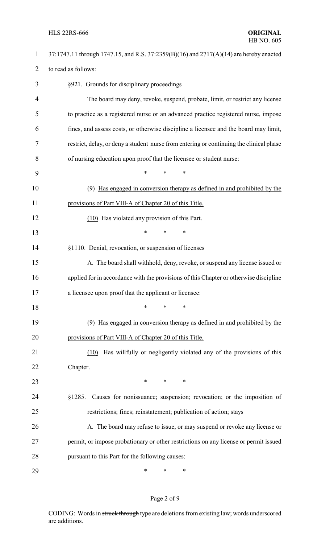## HLS 22RS-666 **ORIGINAL**

| $\mathbf{1}$   | 37:1747.11 through 1747.15, and R.S. 37:2359(B)(16) and 2717(A)(14) are hereby enacted  |
|----------------|-----------------------------------------------------------------------------------------|
| $\overline{2}$ | to read as follows:                                                                     |
| 3              | §921. Grounds for disciplinary proceedings                                              |
| $\overline{4}$ | The board may deny, revoke, suspend, probate, limit, or restrict any license            |
| 5              | to practice as a registered nurse or an advanced practice registered nurse, impose      |
| 6              | fines, and assess costs, or otherwise discipline a licensee and the board may limit,    |
| 7              | restrict, delay, or deny a student nurse from entering or continuing the clinical phase |
| 8              | of nursing education upon proof that the licensee or student nurse:                     |
| 9              | $\ast$<br>$\ast$<br>*                                                                   |
| 10             | (9) Has engaged in conversion therapy as defined in and prohibited by the               |
| 11             | provisions of Part VIII-A of Chapter 20 of this Title.                                  |
| 12             | (10) Has violated any provision of this Part.                                           |
| 13             | $\ast$<br>*<br>∗                                                                        |
| 14             | §1110. Denial, revocation, or suspension of licenses                                    |
| 15             | A. The board shall withhold, deny, revoke, or suspend any license issued or             |
| 16             | applied for in accordance with the provisions of this Chapter or otherwise discipline   |
| 17             | a licensee upon proof that the applicant or licensee:                                   |
| 18             | *<br>∗<br>∗                                                                             |
| 19             | Has engaged in conversion therapy as defined in and prohibited by the<br>(9)            |
| 20             | provisions of Part VIII-A of Chapter 20 of this Title.                                  |
| 21             | Has willfully or negligently violated any of the provisions of this<br>(10)             |
| 22             | Chapter.                                                                                |
| 23             | ∗<br>*<br>∗                                                                             |
| 24             | §1285. Causes for nonissuance; suspension; revocation; or the imposition of             |
| 25             | restrictions; fines; reinstatement; publication of action; stays                        |
| 26             | A. The board may refuse to issue, or may suspend or revoke any license or               |
| 27             | permit, or impose probationary or other restrictions on any license or permit issued    |
| 28             | pursuant to this Part for the following causes:                                         |
| 29             | $\ast$<br>∗<br>∗                                                                        |

# Page 2 of 9

CODING: Words in struck through type are deletions from existing law; words underscored are additions.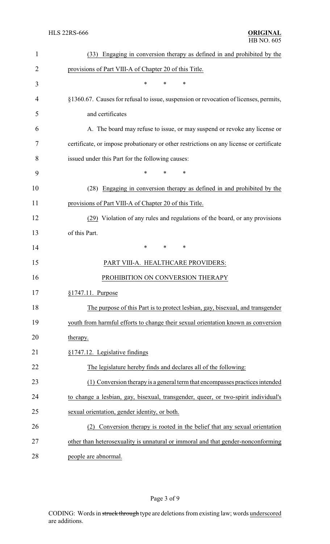| $\mathbf{1}$   | (33) Engaging in conversion therapy as defined in and prohibited by the                 |  |
|----------------|-----------------------------------------------------------------------------------------|--|
| $\overline{2}$ | provisions of Part VIII-A of Chapter 20 of this Title.                                  |  |
| 3              | $\ast$<br>$\ast$<br>*                                                                   |  |
| 4              | §1360.67. Causes for refusal to issue, suspension or revocation of licenses, permits,   |  |
| 5              | and certificates                                                                        |  |
| 6              | A. The board may refuse to issue, or may suspend or revoke any license or               |  |
| 7              | certificate, or impose probationary or other restrictions on any license or certificate |  |
| 8              | issued under this Part for the following causes:                                        |  |
| 9              | $\ast$<br>*<br>$\ast$                                                                   |  |
| 10             | (28) Engaging in conversion therapy as defined in and prohibited by the                 |  |
| 11             | provisions of Part VIII-A of Chapter 20 of this Title.                                  |  |
| 12             | (29) Violation of any rules and regulations of the board, or any provisions             |  |
| 13             | of this Part.                                                                           |  |
| 14             | $\ast$<br>*<br>∗                                                                        |  |
| 15             | PART VIII-A. HEALTHCARE PROVIDERS:                                                      |  |
| 16             | PROHIBITION ON CONVERSION THERAPY                                                       |  |
| 17             | $§1747.11$ . Purpose                                                                    |  |
| 18             | The purpose of this Part is to protect lesbian, gay, bisexual, and transgender          |  |
| 19             | youth from harmful efforts to change their sexual orientation known as conversion       |  |
| 20             | therapy.                                                                                |  |
| 21             | §1747.12. Legislative findings                                                          |  |
| 22             | The legislature hereby finds and declares all of the following:                         |  |
| 23             | (1) Conversion therapy is a general term that encompasses practices intended            |  |
| 24             | to change a lesbian, gay, bisexual, transgender, queer, or two-spirit individual's      |  |
| 25             | sexual orientation, gender identity, or both.                                           |  |
| 26             | (2) Conversion therapy is rooted in the belief that any sexual orientation              |  |
| 27             | other than heterosexuality is unnatural or immoral and that gender-nonconforming        |  |
| 28             | people are abnormal.                                                                    |  |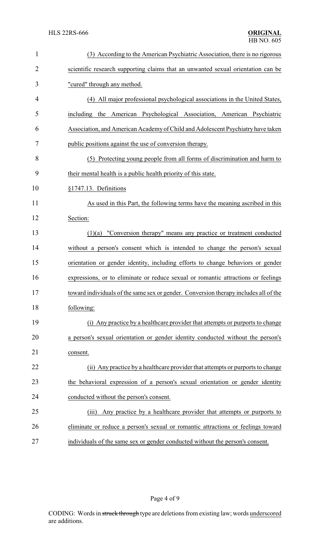| $\mathbf{1}$   | (3) According to the American Psychiatric Association, there is no rigorous          |  |  |  |
|----------------|--------------------------------------------------------------------------------------|--|--|--|
| $\overline{2}$ | scientific research supporting claims that an unwanted sexual orientation can be     |  |  |  |
| 3              | "cured" through any method.                                                          |  |  |  |
| 4              | (4) All major professional psychological associations in the United States,          |  |  |  |
| 5              | including the American Psychological Association, American Psychiatric               |  |  |  |
| 6              | Association, and American Academy of Child and Adolescent Psychiatry have taken      |  |  |  |
| 7              | public positions against the use of conversion therapy.                              |  |  |  |
| 8              | (5) Protecting young people from all forms of discrimination and harm to             |  |  |  |
| 9              | their mental health is a public health priority of this state.                       |  |  |  |
| 10             | §1747.13. Definitions                                                                |  |  |  |
| 11             | As used in this Part, the following terms have the meaning ascribed in this          |  |  |  |
| 12             | Section:                                                                             |  |  |  |
| 13             | $(1)(a)$ "Conversion therapy" means any practice or treatment conducted              |  |  |  |
| 14             | without a person's consent which is intended to change the person's sexual           |  |  |  |
| 15             | orientation or gender identity, including efforts to change behaviors or gender      |  |  |  |
| 16             | expressions, or to eliminate or reduce sexual or romantic attractions or feelings    |  |  |  |
| 17             | toward individuals of the same sex or gender. Conversion therapy includes all of the |  |  |  |
| 18             | following:                                                                           |  |  |  |
| 19             | (i) Any practice by a healthcare provider that attempts or purports to change        |  |  |  |
| 20             | a person's sexual orientation or gender identity conducted without the person's      |  |  |  |
| 21             | consent.                                                                             |  |  |  |
| 22             | (ii) Any practice by a healthcare provider that attempts or purports to change       |  |  |  |
| 23             | the behavioral expression of a person's sexual orientation or gender identity        |  |  |  |
| 24             | conducted without the person's consent.                                              |  |  |  |
| 25             | Any practice by a healthcare provider that attempts or purports to<br>(iii)          |  |  |  |
| 26             | eliminate or reduce a person's sexual or romantic attractions or feelings toward     |  |  |  |
| 27             | individuals of the same sex or gender conducted without the person's consent.        |  |  |  |

Page 4 of 9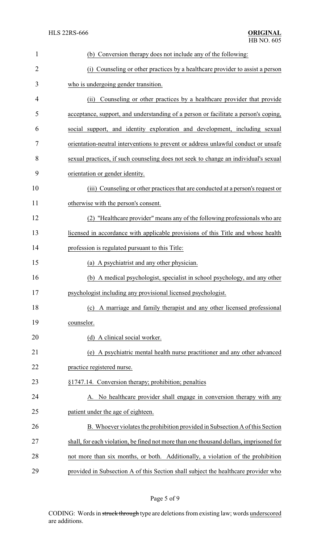| $\mathbf{1}$ | (b) Conversion therapy does not include any of the following:                          |  |
|--------------|----------------------------------------------------------------------------------------|--|
| 2            | (i) Counseling or other practices by a healthcare provider to assist a person          |  |
| 3            | who is undergoing gender transition.                                                   |  |
| 4            | Counseling or other practices by a healthcare provider that provide<br>(ii)            |  |
| 5            | acceptance, support, and understanding of a person or facilitate a person's coping,    |  |
| 6            | social support, and identity exploration and development, including sexual             |  |
| 7            | orientation-neutral interventions to prevent or address unlawful conduct or unsafe     |  |
| 8            | sexual practices, if such counseling does not seek to change an individual's sexual    |  |
| 9            | orientation or gender identity.                                                        |  |
| 10           | (iii) Counseling or other practices that are conducted at a person's request or        |  |
| 11           | otherwise with the person's consent.                                                   |  |
| 12           | (2) "Healthcare provider" means any of the following professionals who are             |  |
| 13           | licensed in accordance with applicable provisions of this Title and whose health       |  |
| 14           | profession is regulated pursuant to this Title:                                        |  |
| 15           | (a) A psychiatrist and any other physician.                                            |  |
| 16           | (b) A medical psychologist, specialist in school psychology, and any other             |  |
| 17           | psychologist including any provisional licensed psychologist.                          |  |
| 18           | A marriage and family therapist and any other licensed professional<br>(c)             |  |
| 19           | counselor.                                                                             |  |
| 20           | (d) A clinical social worker.                                                          |  |
| 21           | (e) A psychiatric mental health nurse practitioner and any other advanced              |  |
| 22           | practice registered nurse.                                                             |  |
| 23           | §1747.14. Conversion therapy; prohibition; penalties                                   |  |
| 24           | A. No healthcare provider shall engage in conversion therapy with any                  |  |
| 25           | patient under the age of eighteen.                                                     |  |
| 26           | B. Whoever violates the prohibition provided in Subsection A of this Section           |  |
| 27           | shall, for each violation, be fined not more than one thousand dollars, imprisoned for |  |
| 28           | not more than six months, or both. Additionally, a violation of the prohibition        |  |
| 29           | provided in Subsection A of this Section shall subject the healthcare provider who     |  |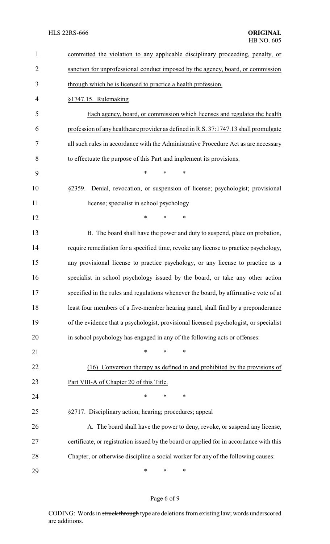| 1              | committed the violation to any applicable disciplinary proceeding, penalty, or          |  |  |
|----------------|-----------------------------------------------------------------------------------------|--|--|
| $\overline{2}$ | sanction for unprofessional conduct imposed by the agency, board, or commission         |  |  |
| 3              | through which he is licensed to practice a health profession.                           |  |  |
| 4              | §1747.15. Rulemaking                                                                    |  |  |
| 5              | Each agency, board, or commission which licenses and regulates the health               |  |  |
| 6              | profession of any healthcare provider as defined in R.S. 37:1747.13 shall promulgate    |  |  |
| 7              | all such rules in accordance with the Administrative Procedure Act as are necessary     |  |  |
| 8              | to effectuate the purpose of this Part and implement its provisions.                    |  |  |
| 9              | $\ast$<br>*<br>*                                                                        |  |  |
| 10             | Denial, revocation, or suspension of license; psychologist; provisional<br>§2359.       |  |  |
| 11             | license; specialist in school psychology                                                |  |  |
| 12             | $\ast$<br>*<br>$\ast$                                                                   |  |  |
| 13             | B. The board shall have the power and duty to suspend, place on probation,              |  |  |
| 14             | require remediation for a specified time, revoke any license to practice psychology,    |  |  |
| 15             | any provisional license to practice psychology, or any license to practice as a         |  |  |
| 16             | specialist in school psychology issued by the board, or take any other action           |  |  |
| 17             | specified in the rules and regulations whenever the board, by affirmative vote of at    |  |  |
| 18             | least four members of a five-member hearing panel, shall find by a preponderance        |  |  |
| 19             | of the evidence that a psychologist, provisional licensed psychologist, or specialist   |  |  |
| 20             | in school psychology has engaged in any of the following acts or offenses:              |  |  |
| 21             | $\ast$<br>*<br>∗                                                                        |  |  |
| 22             | Conversion therapy as defined in and prohibited by the provisions of<br>(16)            |  |  |
| 23             | Part VIII-A of Chapter 20 of this Title.                                                |  |  |
| 24             | *<br>$\ast$<br>∗                                                                        |  |  |
| 25             | §2717. Disciplinary action; hearing; procedures; appeal                                 |  |  |
| 26             | A. The board shall have the power to deny, revoke, or suspend any license,              |  |  |
| 27             | certificate, or registration issued by the board or applied for in accordance with this |  |  |
| 28             | Chapter, or otherwise discipline a social worker for any of the following causes:       |  |  |
| 29             | ∗<br>∗<br>∗                                                                             |  |  |

# Page 6 of 9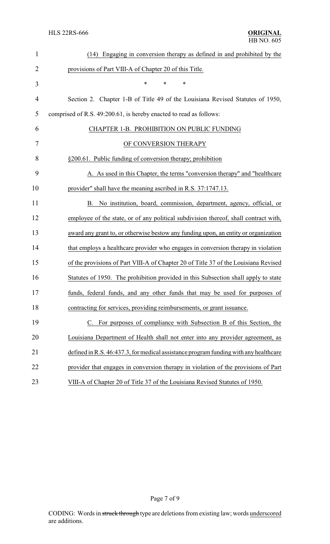| $\mathbf{1}$   | (14) Engaging in conversion therapy as defined in and prohibited by the              |
|----------------|--------------------------------------------------------------------------------------|
| 2              | provisions of Part VIII-A of Chapter 20 of this Title.                               |
| 3              | *<br>*<br>*                                                                          |
| $\overline{4}$ | Section 2. Chapter 1-B of Title 49 of the Louisiana Revised Statutes of 1950,        |
| 5              | comprised of R.S. 49:200.61, is hereby enacted to read as follows:                   |
| 6              | CHAPTER 1-B. PROHIBITION ON PUBLIC FUNDING                                           |
| 7              | OF CONVERSION THERAPY                                                                |
| 8              | §200.61. Public funding of conversion therapy; prohibition                           |
| 9              | A. As used in this Chapter, the terms "conversion therapy" and "healthcare           |
| 10             | provider" shall have the meaning ascribed in R.S. 37:1747.13.                        |
| 11             | B. No institution, board, commission, department, agency, official, or               |
| 12             | employee of the state, or of any political subdivision thereof, shall contract with, |
| 13             | award any grant to, or otherwise bestow any funding upon, an entity or organization  |
| 14             | that employs a healthcare provider who engages in conversion therapy in violation    |
| 15             | of the provisions of Part VIII-A of Chapter 20 of Title 37 of the Louisiana Revised  |
| 16             | Statutes of 1950. The prohibition provided in this Subsection shall apply to state   |
| 17             | funds, federal funds, and any other funds that may be used for purposes of           |
| 18             | contracting for services, providing reimbursements, or grant issuance.               |
| 19             | C. For purposes of compliance with Subsection B of this Section, the                 |
| 20             | Louisiana Department of Health shall not enter into any provider agreement, as       |
| 21             | defined in R.S. 46:437.3, for medical assistance program funding with any healthcare |
| 22             | provider that engages in conversion therapy in violation of the provisions of Part   |
| 23             | VIII-A of Chapter 20 of Title 37 of the Louisiana Revised Statutes of 1950.          |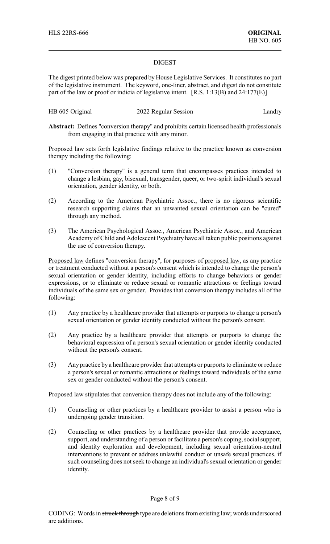### DIGEST

The digest printed below was prepared by House Legislative Services. It constitutes no part of the legislative instrument. The keyword, one-liner, abstract, and digest do not constitute part of the law or proof or indicia of legislative intent. [R.S. 1:13(B) and 24:177(E)]

| HB 605 Original | 2022 Regular Session | Landry |
|-----------------|----------------------|--------|
|-----------------|----------------------|--------|

**Abstract:** Defines "conversion therapy" and prohibits certain licensed health professionals from engaging in that practice with any minor.

Proposed law sets forth legislative findings relative to the practice known as conversion therapy including the following:

- (1) "Conversion therapy" is a general term that encompasses practices intended to change a lesbian, gay, bisexual, transgender, queer, or two-spirit individual's sexual orientation, gender identity, or both.
- (2) According to the American Psychiatric Assoc., there is no rigorous scientific research supporting claims that an unwanted sexual orientation can be "cured" through any method.
- (3) The American Psychological Assoc., American Psychiatric Assoc., and American Academy of Child and Adolescent Psychiatry have all taken public positions against the use of conversion therapy.

Proposed law defines "conversion therapy", for purposes of proposed law, as any practice or treatment conducted without a person's consent which is intended to change the person's sexual orientation or gender identity, including efforts to change behaviors or gender expressions, or to eliminate or reduce sexual or romantic attractions or feelings toward individuals of the same sex or gender. Provides that conversion therapy includes all of the following:

- (1) Any practice by a healthcare provider that attempts or purports to change a person's sexual orientation or gender identity conducted without the person's consent.
- (2) Any practice by a healthcare provider that attempts or purports to change the behavioral expression of a person's sexual orientation or gender identity conducted without the person's consent.
- (3) Any practice by a healthcare provider that attempts or purports to eliminate or reduce a person's sexual or romantic attractions or feelings toward individuals of the same sex or gender conducted without the person's consent.

Proposed law stipulates that conversion therapy does not include any of the following:

- (1) Counseling or other practices by a healthcare provider to assist a person who is undergoing gender transition.
- (2) Counseling or other practices by a healthcare provider that provide acceptance, support, and understanding of a person or facilitate a person's coping, social support, and identity exploration and development, including sexual orientation-neutral interventions to prevent or address unlawful conduct or unsafe sexual practices, if such counseling does not seek to change an individual's sexual orientation or gender identity.